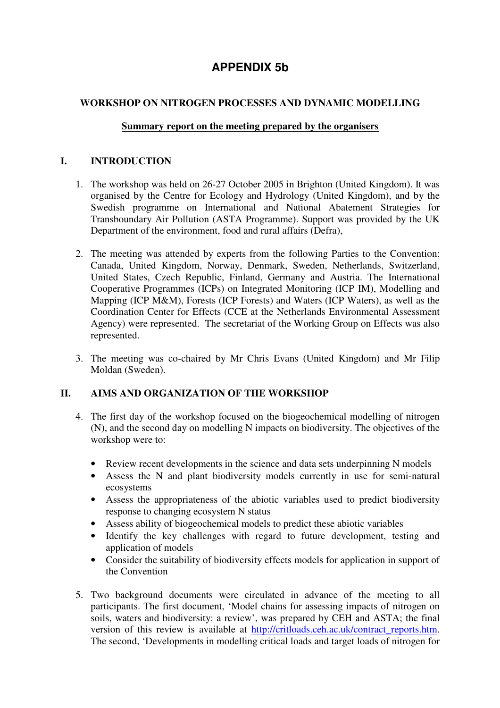# **APPENDIX 5b**

## **WORKSHOP ON NITROGEN PROCESSES AND DYNAMIC MODELLING**

#### **Summary report on the meeting prepared by the organisers**

#### **I. INTRODUCTION**

- 1. The workshop was held on 26-27 October 2005 in Brighton (United Kingdom). It was organised by the Centre for Ecology and Hydrology (United Kingdom), and by the Swedish programme on International and National Abatement Strategies for Transboundary Air Pollution (ASTA Programme). Support was provided by the UK Department of the environment, food and rural affairs (Defra),
- 2. The meeting was attended by experts from the following Parties to the Convention: Canada, United Kingdom, Norway, Denmark, Sweden, Netherlands, Switzerland, United States, Czech Republic, Finland, Germany and Austria. The International Cooperative Programmes (ICPs) on Integrated Monitoring (ICP IM), Modelling and Mapping (ICP M&M), Forests (ICP Forests) and Waters (ICP Waters), as well as the Coordination Center for Effects (CCE at the Netherlands Environmental Assessment Agency) were represented. The secretariat of the Working Group on Effects was also represented.
- 3. The meeting was co-chaired by Mr Chris Evans (United Kingdom) and Mr Filip Moldan (Sweden).

### **II. AIMS AND ORGANIZATION OF THE WORKSHOP**

- 4. The first day of the workshop focused on the biogeochemical modelling of nitrogen (N), and the second day on modelling N impacts on biodiversity. The objectives of the workshop were to:
	- Review recent developments in the science and data sets underpinning N models
	- Assess the N and plant biodiversity models currently in use for semi-natural ecosystems
	- Assess the appropriateness of the abiotic variables used to predict biodiversity response to changing ecosystem N status
	- Assess ability of biogeochemical models to predict these abiotic variables
	- Identify the key challenges with regard to future development, testing and application of models
	- Consider the suitability of biodiversity effects models for application in support of the Convention
- 5. Two background documents were circulated in advance of the meeting to all participants. The first document, 'Model chains for assessing impacts of nitrogen on soils, waters and biodiversity: a review', was prepared by CEH and ASTA; the final version of this review is available at http://critloads.ceh.ac.uk/contract\_reports.htm. The second, 'Developments in modelling critical loads and target loads of nitrogen for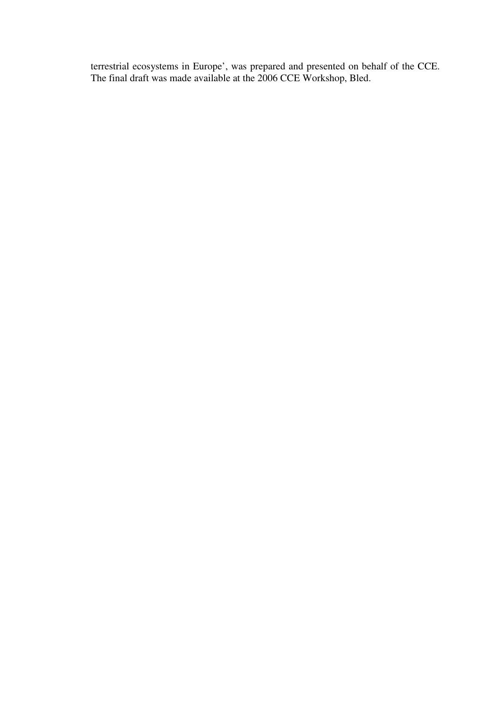terrestrial ecosystems in Europe', was prepared and presented on behalf of the CCE. The final draft was made available at the 2006 CCE Workshop, Bled.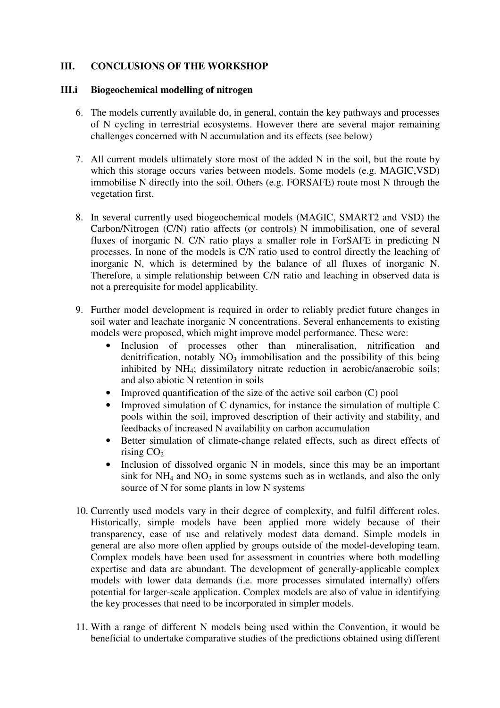#### **III. CONCLUSIONS OF THE WORKSHOP**

#### **III.i Biogeochemical modelling of nitrogen**

- 6. The models currently available do, in general, contain the key pathways and processes of N cycling in terrestrial ecosystems. However there are several major remaining challenges concerned with N accumulation and its effects (see below)
- 7. All current models ultimately store most of the added N in the soil, but the route by which this storage occurs varies between models. Some models (e.g. MAGIC, VSD) immobilise N directly into the soil. Others (e.g. FORSAFE) route most N through the vegetation first.
- 8. In several currently used biogeochemical models (MAGIC, SMART2 and VSD) the Carbon/Nitrogen (C/N) ratio affects (or controls) N immobilisation, one of several fluxes of inorganic N. C/N ratio plays a smaller role in ForSAFE in predicting N processes. In none of the models is C/N ratio used to control directly the leaching of inorganic N, which is determined by the balance of all fluxes of inorganic N. Therefore, a simple relationship between C/N ratio and leaching in observed data is not a prerequisite for model applicability.
- 9. Further model development is required in order to reliably predict future changes in soil water and leachate inorganic N concentrations. Several enhancements to existing models were proposed, which might improve model performance. These were:
	- Inclusion of processes other than mineralisation, nitrification and denitrification, notably  $NO<sub>3</sub>$  immobilisation and the possibility of this being inhibited by NH<sub>4</sub>; dissimilatory nitrate reduction in aerobic/anaerobic soils; and also abiotic N retention in soils
	- Improved quantification of the size of the active soil carbon (C) pool
	- Improved simulation of C dynamics, for instance the simulation of multiple C pools within the soil, improved description of their activity and stability, and feedbacks of increased N availability on carbon accumulation
	- Better simulation of climate-change related effects, such as direct effects of rising  $CO<sub>2</sub>$
	- Inclusion of dissolved organic N in models, since this may be an important sink for  $NH_4$  and  $NO_3$  in some systems such as in wetlands, and also the only source of N for some plants in low N systems
- 10. Currently used models vary in their degree of complexity, and fulfil different roles. Historically, simple models have been applied more widely because of their transparency, ease of use and relatively modest data demand. Simple models in general are also more often applied by groups outside of the model-developing team. Complex models have been used for assessment in countries where both modelling expertise and data are abundant. The development of generally-applicable complex models with lower data demands (i.e. more processes simulated internally) offers potential for larger-scale application. Complex models are also of value in identifying the key processes that need to be incorporated in simpler models.
- 11. With a range of different N models being used within the Convention, it would be beneficial to undertake comparative studies of the predictions obtained using different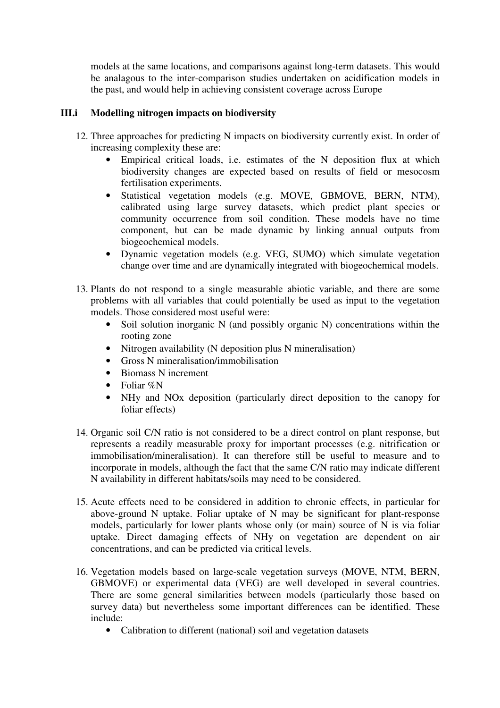models at the same locations, and comparisons against long-term datasets. This would be analagous to the inter-comparison studies undertaken on acidification models in the past, and would help in achieving consistent coverage across Europe

#### **III.i Modelling nitrogen impacts on biodiversity**

- 12. Three approaches for predicting N impacts on biodiversity currently exist. In order of increasing complexity these are:
	- Empirical critical loads, i.e. estimates of the N deposition flux at which biodiversity changes are expected based on results of field or mesocosm fertilisation experiments.
	- Statistical vegetation models (e.g. MOVE, GBMOVE, BERN, NTM), calibrated using large survey datasets, which predict plant species or community occurrence from soil condition. These models have no time component, but can be made dynamic by linking annual outputs from biogeochemical models.
	- Dynamic vegetation models (e.g. VEG, SUMO) which simulate vegetation change over time and are dynamically integrated with biogeochemical models.
- 13. Plants do not respond to a single measurable abiotic variable, and there are some problems with all variables that could potentially be used as input to the vegetation models. Those considered most useful were:
	- Soil solution inorganic N (and possibly organic N) concentrations within the rooting zone
	- Nitrogen availability (N deposition plus N mineralisation)
	- Gross N mineralisation/immobilisation
	- Biomass N increment
	- Foliar %N
	- NHy and NOx deposition (particularly direct deposition to the canopy for foliar effects)
- 14. Organic soil C/N ratio is not considered to be a direct control on plant response, but represents a readily measurable proxy for important processes (e.g. nitrification or immobilisation/mineralisation). It can therefore still be useful to measure and to incorporate in models, although the fact that the same C/N ratio may indicate different N availability in different habitats/soils may need to be considered.
- 15. Acute effects need to be considered in addition to chronic effects, in particular for above-ground N uptake. Foliar uptake of N may be significant for plant-response models, particularly for lower plants whose only (or main) source of N is via foliar uptake. Direct damaging effects of NHy on vegetation are dependent on air concentrations, and can be predicted via critical levels.
- 16. Vegetation models based on large-scale vegetation surveys (MOVE, NTM, BERN, GBMOVE) or experimental data (VEG) are well developed in several countries. There are some general similarities between models (particularly those based on survey data) but nevertheless some important differences can be identified. These include:
	- Calibration to different (national) soil and vegetation datasets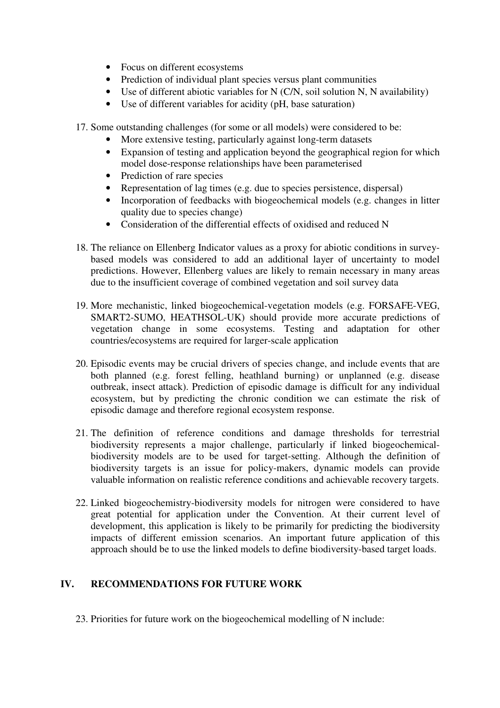- Focus on different ecosystems
- Prediction of individual plant species versus plant communities
- Use of different abiotic variables for N (C/N, soil solution N, N availability)
- Use of different variables for acidity (pH, base saturation)

17. Some outstanding challenges (for some or all models) were considered to be:

- More extensive testing, particularly against long-term datasets
- Expansion of testing and application beyond the geographical region for which model dose-response relationships have been parameterised
- Prediction of rare species
- Representation of lag times (e.g. due to species persistence, dispersal)
- Incorporation of feedbacks with biogeochemical models (e.g. changes in litter quality due to species change)
- Consideration of the differential effects of oxidised and reduced N
- 18. The reliance on Ellenberg Indicator values as a proxy for abiotic conditions in surveybased models was considered to add an additional layer of uncertainty to model predictions. However, Ellenberg values are likely to remain necessary in many areas due to the insufficient coverage of combined vegetation and soil survey data
- 19. More mechanistic, linked biogeochemical-vegetation models (e.g. FORSAFE-VEG, SMART2-SUMO, HEATHSOL-UK) should provide more accurate predictions of vegetation change in some ecosystems. Testing and adaptation for other countries/ecosystems are required for larger-scale application
- 20. Episodic events may be crucial drivers of species change, and include events that are both planned (e.g. forest felling, heathland burning) or unplanned (e.g. disease outbreak, insect attack). Prediction of episodic damage is difficult for any individual ecosystem, but by predicting the chronic condition we can estimate the risk of episodic damage and therefore regional ecosystem response.
- 21. The definition of reference conditions and damage thresholds for terrestrial biodiversity represents a major challenge, particularly if linked biogeochemicalbiodiversity models are to be used for target-setting. Although the definition of biodiversity targets is an issue for policy-makers, dynamic models can provide valuable information on realistic reference conditions and achievable recovery targets.
- 22. Linked biogeochemistry-biodiversity models for nitrogen were considered to have great potential for application under the Convention. At their current level of development, this application is likely to be primarily for predicting the biodiversity impacts of different emission scenarios. An important future application of this approach should be to use the linked models to define biodiversity-based target loads.

# **IV. RECOMMENDATIONS FOR FUTURE WORK**

23. Priorities for future work on the biogeochemical modelling of N include: